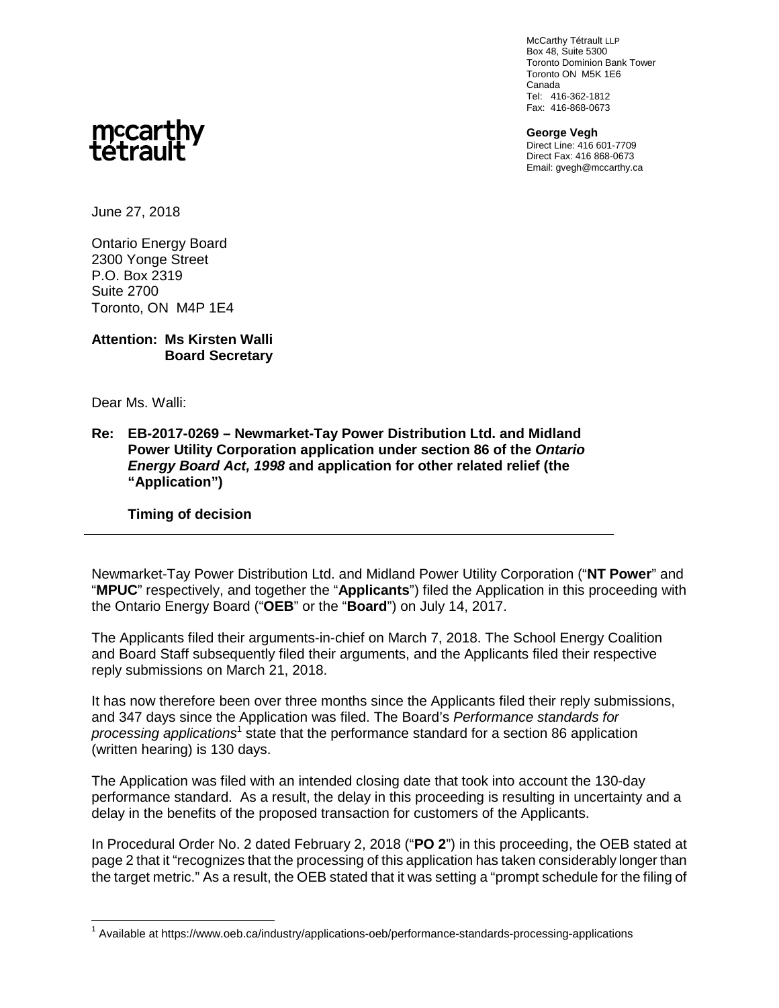McCarthy Tétrault LLP Box 48, Suite 5300 Toronto Dominion Bank Tower Toronto ON M5K 1E6 Canada Tel: 416-362-1812 Fax: 416-868-0673

**George Vegh** Direct Line: 416 601-7709 Direct Fax: 416 868-0673 Email: gvegh@mccarthy.ca



June 27, 2018

Ontario Energy Board 2300 Yonge Street P.O. Box 2319 Suite 2700 Toronto, ON M4P 1E4

## **Attention: Ms Kirsten Walli Board Secretary**

Dear Ms. Walli:

**Re: EB-2017-0269 – Newmarket-Tay Power Distribution Ltd. and Midland Power Utility Corporation application under section 86 of the** *Ontario Energy Board Act, 1998* **and application for other related relief (the "Application")**

**Timing of decision**

Newmarket-Tay Power Distribution Ltd. and Midland Power Utility Corporation ("**NT Power**" and "**MPUC**" respectively, and together the "**Applicants**") filed the Application in this proceeding with the Ontario Energy Board ("**OEB**" or the "**Board**") on July 14, 2017.

The Applicants filed their arguments-in-chief on March 7, 2018. The School Energy Coalition and Board Staff subsequently filed their arguments, and the Applicants filed their respective reply submissions on March 21, 2018.

It has now therefore been over three months since the Applicants filed their reply submissions, and 347 days since the Application was filed. The Board's *Performance standards for* processing applications<sup>1</sup> state that the performance standard for a section 86 application (written hearing) is 130 days.

The Application was filed with an intended closing date that took into account the 130-day performance standard. As a result, the delay in this proceeding is resulting in uncertainty and a delay in the benefits of the proposed transaction for customers of the Applicants.

In Procedural Order No. 2 dated February 2, 2018 ("**PO 2**") in this proceeding, the OEB stated at page 2 that it "recognizes that the processing of this application has taken considerably longer than the target metric." As a result, the OEB stated that it was setting a "prompt schedule for the filing of

<sup>&</sup>lt;sup>1</sup> Available at https://www.oeb.ca/industry/applications-oeb/performance-standards-processing-applications